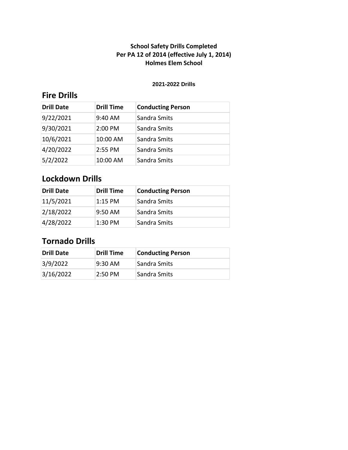#### **2021-2022 Drills**

## **Fire Drills**

| <b>Drill Date</b> | <b>Drill Time</b> | <b>Conducting Person</b> |
|-------------------|-------------------|--------------------------|
| 9/22/2021         | 9:40 AM           | Sandra Smits             |
| 9/30/2021         | 2:00 PM           | Sandra Smits             |
| 10/6/2021         | 10:00 AM          | Sandra Smits             |
| 4/20/2022         | 2:55 PM           | Sandra Smits             |
| 5/2/2022          | 10:00 AM          | Sandra Smits             |

## **Lockdown Drills**

| <b>Drill Date</b> | <b>Drill Time</b> | <b>Conducting Person</b> |
|-------------------|-------------------|--------------------------|
| 11/5/2021         | $1:15$ PM         | Sandra Smits             |
| 2/18/2022         | $9:50$ AM         | Sandra Smits             |
| 4/28/2022         | 1:30 PM           | Sandra Smits             |

| <b>Drill Date</b> | <b>Drill Time</b> | <b>Conducting Person</b> |
|-------------------|-------------------|--------------------------|
| 3/9/2022          | $9:30$ AM         | Sandra Smits             |
| 3/16/2022         | $2:50 \text{ PM}$ | Sandra Smits             |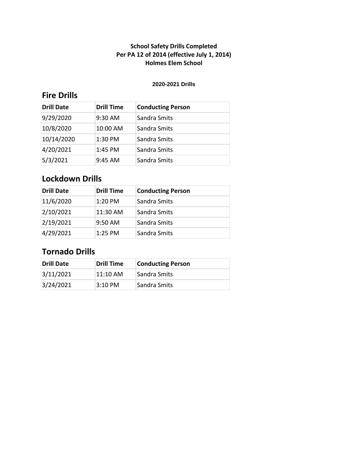#### **2020-2021 Drills**

## **Fire Drills**

| <b>Drill Date</b> | <b>Drill Time</b> | <b>Conducting Person</b> |
|-------------------|-------------------|--------------------------|
| 9/29/2020         | 9:30 AM           | Sandra Smits             |
| 10/8/2020         | 10:00 AM          | Sandra Smits             |
| 10/14/2020        | 1:30 PM           | Sandra Smits             |
| 4/20/2021         | 1:45 PM           | Sandra Smits             |
| 5/3/2021          | $9:45$ AM         | Sandra Smits             |

## **Lockdown Drills**

| <b>Drill Date</b> | <b>Drill Time</b> | <b>Conducting Person</b> |
|-------------------|-------------------|--------------------------|
| 11/6/2020         | 1:20 PM           | Sandra Smits             |
| 2/10/2021         | 11:30 AM          | Sandra Smits             |
| 2/19/2021         | $9:50$ AM         | Sandra Smits             |
| 4/29/2021         | $1:25$ PM         | Sandra Smits             |

| Drill Date | <b>Drill Time</b> | <b>Conducting Person</b> |
|------------|-------------------|--------------------------|
| 3/11/2021  | $11:10$ AM        | <b>Sandra Smits</b>      |
| 3/24/2021  | $3:10$ PM         | Sandra Smits             |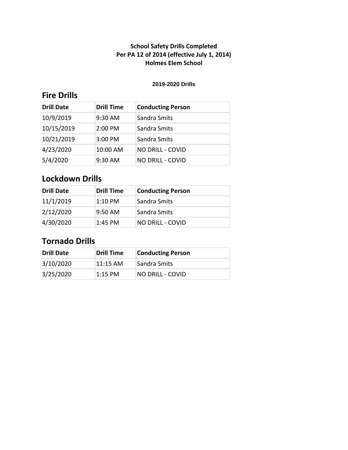#### **2019-2020 Drills**

## **Fire Drills**

| <b>Drill Date</b> | <b>Drill Time</b> | <b>Conducting Person</b> |
|-------------------|-------------------|--------------------------|
| 10/9/2019         | 9:30 AM           | Sandra Smits             |
| 10/15/2019        | 2:00 PM           | Sandra Smits             |
| 10/21/2019        | 3:00 PM           | Sandra Smits             |
| 4/23/2020         | 10:00 AM          | <b>NO DRILL - COVID</b>  |
| 5/4/2020          | 9:30 AM           | <b>NO DRILL - COVID</b>  |

## **Lockdown Drills**

| <b>Drill Date</b> | <b>Drill Time</b> | <b>Conducting Person</b> |
|-------------------|-------------------|--------------------------|
| 11/1/2019         | $1:10$ PM         | Sandra Smits             |
| 2/12/2020         | $9:50$ AM         | Sandra Smits             |
| 4/30/2020         | $1:45$ PM         | <b>NO DRILL - COVID</b>  |

| <b>Drill Date</b> | Drill Time | <b>Conducting Person</b> |
|-------------------|------------|--------------------------|
| 3/10/2020         | 11:15 AM   | <b>Sandra Smits</b>      |
| 3/25/2020         | $1:15$ PM  | NO DRILL - COVID         |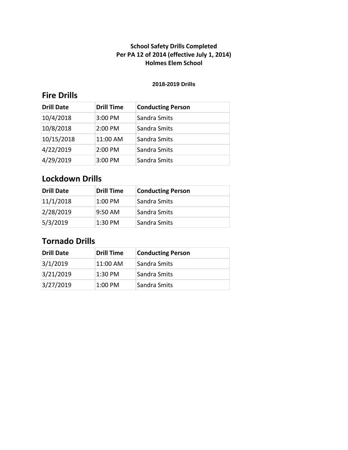#### **2018-2019 Drills**

## **Fire Drills**

| <b>Drill Date</b> | <b>Drill Time</b> | <b>Conducting Person</b> |
|-------------------|-------------------|--------------------------|
| 10/4/2018         | 3:00 PM           | Sandra Smits             |
| 10/8/2018         | 2:00 PM           | Sandra Smits             |
| 10/15/2018        | 11:00 AM          | Sandra Smits             |
| 4/22/2019         | 2:00 PM           | Sandra Smits             |
| 4/29/2019         | 3:00 PM           | Sandra Smits             |

## **Lockdown Drills**

| <b>Drill Date</b> | <b>Drill Time</b> | <b>Conducting Person</b> |
|-------------------|-------------------|--------------------------|
| 11/1/2018         | $1:00$ PM         | Sandra Smits             |
| 2/28/2019         | $9:50$ AM         | Sandra Smits             |
| 5/3/2019          | 1:30 PM           | Sandra Smits             |

| <b>Drill Date</b> | <b>Drill Time</b> | <b>Conducting Person</b> |
|-------------------|-------------------|--------------------------|
| 3/1/2019          | 11:00 AM          | Sandra Smits             |
| 3/21/2019         | 1:30 PM           | Sandra Smits             |
| 3/27/2019         | $1:00$ PM         | Sandra Smits             |